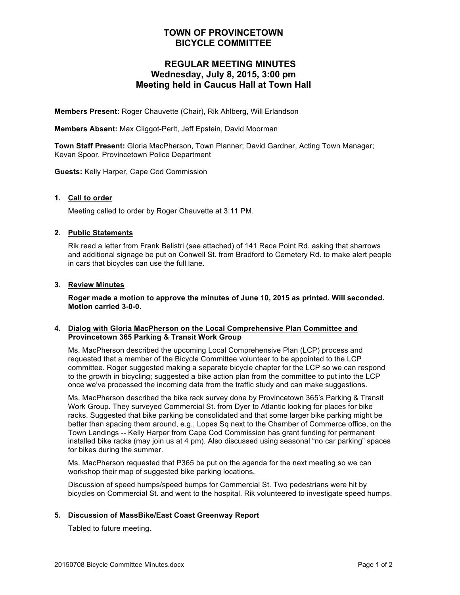# **TOWN OF PROVINCETOWN BICYCLE COMMITTEE**

# **REGULAR MEETING MINUTES Wednesday, July 8, 2015, 3:00 pm Meeting held in Caucus Hall at Town Hall**

**Members Present:** Roger Chauvette (Chair), Rik Ahlberg, Will Erlandson

**Members Absent:** Max Cliggot-Perlt, Jeff Epstein, David Moorman

**Town Staff Present:** Gloria MacPherson, Town Planner; David Gardner, Acting Town Manager; Kevan Spoor, Provincetown Police Department

**Guests:** Kelly Harper, Cape Cod Commission

# **1. Call to order**

Meeting called to order by Roger Chauvette at 3:11 PM.

# **2. Public Statements**

Rik read a letter from Frank Belistri (see attached) of 141 Race Point Rd. asking that sharrows and additional signage be put on Conwell St. from Bradford to Cemetery Rd. to make alert people in cars that bicycles can use the full lane.

# **3. Review Minutes**

**Roger made a motion to approve the minutes of June 10, 2015 as printed. Will seconded. Motion carried 3-0-0.**

# **4. Dialog with Gloria MacPherson on the Local Comprehensive Plan Committee and Provincetown 365 Parking & Transit Work Group**

Ms. MacPherson described the upcoming Local Comprehensive Plan (LCP) process and requested that a member of the Bicycle Committee volunteer to be appointed to the LCP committee. Roger suggested making a separate bicycle chapter for the LCP so we can respond to the growth in bicycling; suggested a bike action plan from the committee to put into the LCP once we've processed the incoming data from the traffic study and can make suggestions.

Ms. MacPherson described the bike rack survey done by Provincetown 365's Parking & Transit Work Group. They surveyed Commercial St. from Dyer to Atlantic looking for places for bike racks. Suggested that bike parking be consolidated and that some larger bike parking might be better than spacing them around, e.g., Lopes Sq next to the Chamber of Commerce office, on the Town Landings -- Kelly Harper from Cape Cod Commission has grant funding for permanent installed bike racks (may join us at 4 pm). Also discussed using seasonal "no car parking" spaces for bikes during the summer.

Ms. MacPherson requested that P365 be put on the agenda for the next meeting so we can workshop their map of suggested bike parking locations.

Discussion of speed humps/speed bumps for Commercial St. Two pedestrians were hit by bicycles on Commercial St. and went to the hospital. Rik volunteered to investigate speed humps.

#### **5. Discussion of MassBike/East Coast Greenway Report**

Tabled to future meeting.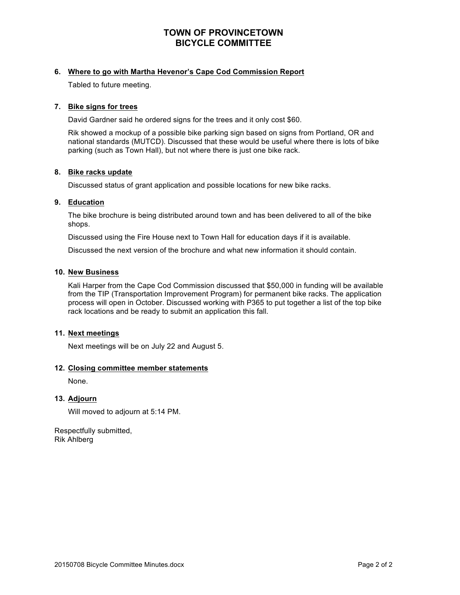# **TOWN OF PROVINCETOWN BICYCLE COMMITTEE**

# **6. Where to go with Martha Hevenor's Cape Cod Commission Report**

Tabled to future meeting.

#### **7. Bike signs for trees**

David Gardner said he ordered signs for the trees and it only cost \$60.

Rik showed a mockup of a possible bike parking sign based on signs from Portland, OR and national standards (MUTCD). Discussed that these would be useful where there is lots of bike parking (such as Town Hall), but not where there is just one bike rack.

# **8. Bike racks update**

Discussed status of grant application and possible locations for new bike racks.

# **9. Education**

The bike brochure is being distributed around town and has been delivered to all of the bike shops.

Discussed using the Fire House next to Town Hall for education days if it is available.

Discussed the next version of the brochure and what new information it should contain.

#### **10. New Business**

Kali Harper from the Cape Cod Commission discussed that \$50,000 in funding will be available from the TIP (Transportation Improvement Program) for permanent bike racks. The application process will open in October. Discussed working with P365 to put together a list of the top bike rack locations and be ready to submit an application this fall.

#### **11. Next meetings**

Next meetings will be on July 22 and August 5.

#### **12. Closing committee member statements**

None.

#### **13. Adjourn**

Will moved to adjourn at 5:14 PM.

Respectfully submitted, Rik Ahlberg